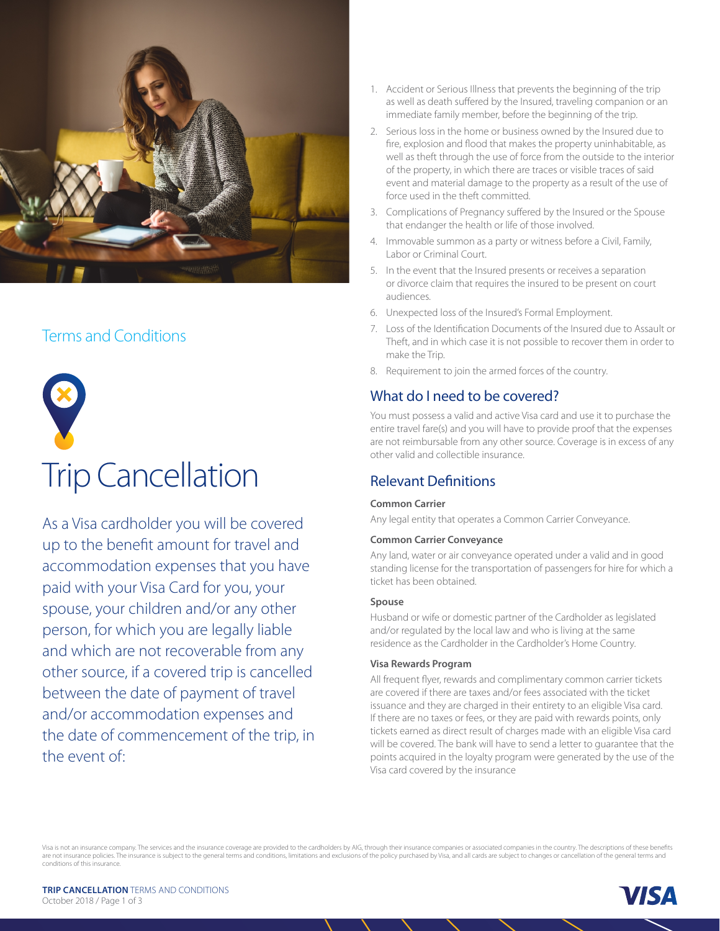

# Terms and Conditions



# Trip Cancellation

As a Visa cardholder you will be covered up to the benefit amount for travel and accommodation expenses that you have paid with your Visa Card for you, your spouse, your children and/or any other person, for which you are legally liable and which are not recoverable from any other source, if a covered trip is cancelled between the date of payment of travel and/or accommodation expenses and the date of commencement of the trip, in the event of:

- 1. Accident or Serious Illness that prevents the beginning of the trip as well as death suffered by the Insured, traveling companion or an immediate family member, before the beginning of the trip.
- 2. Serious loss in the home or business owned by the Insured due to fire, explosion and flood that makes the property uninhabitable, as well as theft through the use of force from the outside to the interior of the property, in which there are traces or visible traces of said event and material damage to the property as a result of the use of force used in the theft committed.
- 3. Complications of Pregnancy suffered by the Insured or the Spouse that endanger the health or life of those involved.
- 4. Immovable summon as a party or witness before a Civil, Family, Labor or Criminal Court.
- 5. In the event that the Insured presents or receives a separation or divorce claim that requires the insured to be present on court audiences.
- 6. Unexpected loss of the Insured's Formal Employment.
- 7. Loss of the Identification Documents of the Insured due to Assault or Theft, and in which case it is not possible to recover them in order to make the Trip.
- 8. Requirement to join the armed forces of the country.

# What do I need to be covered?

You must possess a valid and active Visa card and use it to purchase the entire travel fare(s) and you will have to provide proof that the expenses are not reimbursable from any other source. Coverage is in excess of any other valid and collectible insurance.

# Relevant Definitions

#### **Common Carrier**

Any legal entity that operates a Common Carrier Conveyance.

#### **Common Carrier Conveyance**

Any land, water or air conveyance operated under a valid and in good standing license for the transportation of passengers for hire for which a ticket has been obtained.

#### **Spouse**

Husband or wife or domestic partner of the Cardholder as legislated and/or regulated by the local law and who is living at the same residence as the Cardholder in the Cardholder's Home Country.

#### **Visa Rewards Program**

All frequent flyer, rewards and complimentary common carrier tickets are covered if there are taxes and/or fees associated with the ticket issuance and they are charged in their entirety to an eligible Visa card. If there are no taxes or fees, or they are paid with rewards points, only tickets earned as direct result of charges made with an eligible Visa card will be covered. The bank will have to send a letter to guarantee that the points acquired in the loyalty program were generated by the use of the Visa card covered by the insurance

Visa is not an insurance company. The services and the insurance coverage are provided to the cardholders by AIG, through their insurance companies or associated companies in the country. The descriptions of these benefits are not insurance policies. The insurance is subject to the general terms and conditions, limitations and exclusions of the policy purchased by Visa, and all cards are subject to changes or cancellation of the general term conditions of this insurance.

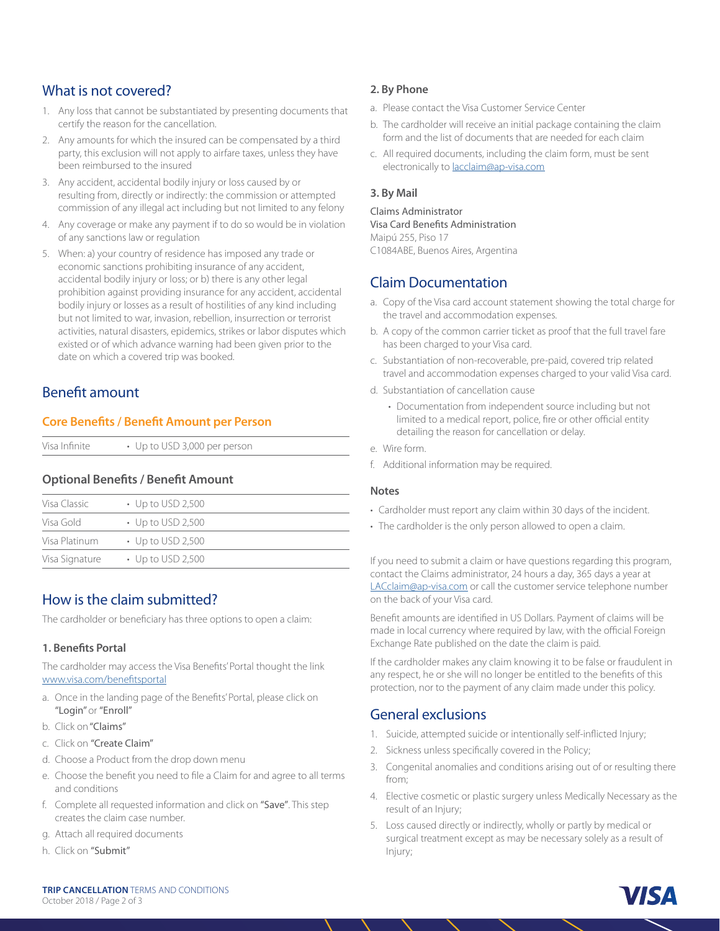## What is not covered?

- 1. Any loss that cannot be substantiated by presenting documents that certify the reason for the cancellation.
- 2. Any amounts for which the insured can be compensated by a third party, this exclusion will not apply to airfare taxes, unless they have been reimbursed to the insured
- 3. Any accident, accidental bodily injury or loss caused by or resulting from, directly or indirectly: the commission or attempted commission of any illegal act including but not limited to any felony
- 4. Any coverage or make any payment if to do so would be in violation of any sanctions law or regulation
- 5. When: a) your country of residence has imposed any trade or economic sanctions prohibiting insurance of any accident, accidental bodily injury or loss; or b) there is any other legal prohibition against providing insurance for any accident, accidental bodily injury or losses as a result of hostilities of any kind including but not limited to war, invasion, rebellion, insurrection or terrorist activities, natural disasters, epidemics, strikes or labor disputes which existed or of which advance warning had been given prior to the date on which a covered trip was booked.

# Benefit amount

#### **Core Benefits / Benefit Amount per Person**

#### **Optional Benefits / Benefit Amount**

| Visa Classic   | $\cdot$ Up to USD 2,500 |
|----------------|-------------------------|
| Visa Gold      | $\cdot$ Up to USD 2,500 |
| Visa Platinum  | $\cdot$ Up to USD 2,500 |
| Visa Signature | $\cdot$ Up to USD 2,500 |

# How is the claim submitted?

The cardholder or beneficiary has three options to open a claim:

#### **1. Benefits Portal**

The cardholder may access the Visa Benefits' Portal thought the link [www.visa.com/benefitsportal](http://www.visa.com/benefitsportal)

- a. Once in the landing page of the Benefits' Portal, please click on "Login" or "Enroll"
- b. Click on "Claims"
- c. Click on "Create Claim"
- d. Choose a Product from the drop down menu
- e. Choose the benefit you need to file a Claim for and agree to all terms and conditions
- f. Complete all requested information and click on "Save". This step creates the claim case number.
- g. Attach all required documents
- h. Click on "Submit"

#### **2. By Phone**

- a. Please contact the Visa Customer Service Center
- b. The cardholder will receive an initial package containing the claim form and the list of documents that are needed for each claim
- c. All required documents, including the claim form, must be sent electronically to [lacclaim@ap-visa.com](mailto:lacclaim%40ap-visa.com%20?subject=)

#### **3. By Mail**

Claims Administrator Visa Card Benefits Administration Maipú 255, Piso 17 C1084ABE, Buenos Aires, Argentina

# Claim Documentation

- a. Copy of the Visa card account statement showing the total charge for the travel and accommodation expenses.
- b. A copy of the common carrier ticket as proof that the full travel fare has been charged to your Visa card.
- c. Substantiation of non-recoverable, pre-paid, covered trip related travel and accommodation expenses charged to your valid Visa card.
- d. Substantiation of cancellation cause
	- Documentation from independent source including but not limited to a medical report, police, fire or other official entity detailing the reason for cancellation or delay.
- e. Wire form.
- f. Additional information may be required.

#### **Notes**

- Cardholder must report any claim within 30 days of the incident.
- The cardholder is the only person allowed to open a claim.

If you need to submit a claim or have questions regarding this program, contact the Claims administrator, 24 hours a day, 365 days a year at [LACclaim@ap-visa.com](mailto:LACclaim%40ap-visa.com?subject=) or call the customer service telephone number on the back of your Visa card.

Benefit amounts are identified in US Dollars. Payment of claims will be made in local currency where required by law, with the official Foreign Exchange Rate published on the date the claim is paid.

If the cardholder makes any claim knowing it to be false or fraudulent in any respect, he or she will no longer be entitled to the benefits of this protection, nor to the payment of any claim made under this policy.

## General exclusions

- 1. Suicide, attempted suicide or intentionally self-inflicted Injury;
- 2. Sickness unless specifically covered in the Policy;
- 3. Congenital anomalies and conditions arising out of or resulting there from;
- 4. Elective cosmetic or plastic surgery unless Medically Necessary as the result of an Injury;
- 5. Loss caused directly or indirectly, wholly or partly by medical or surgical treatment except as may be necessary solely as a result of Injury;